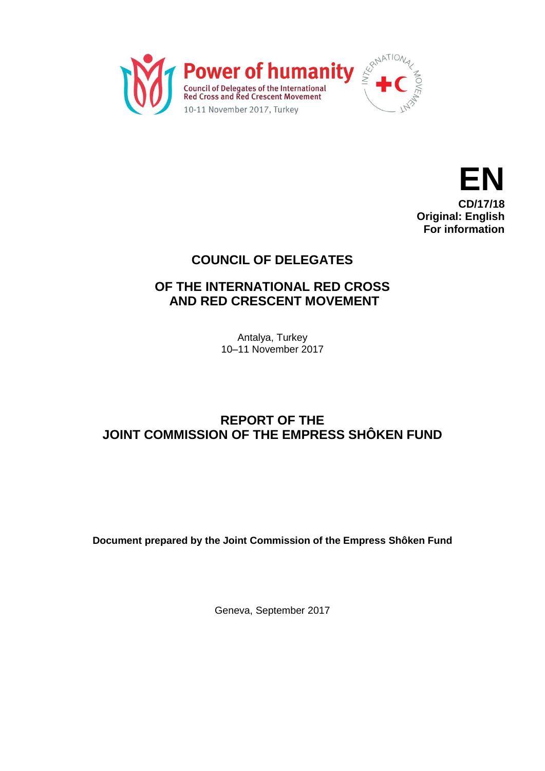



# **COUNCIL OF DELEGATES**

## **OF THE INTERNATIONAL RED CROSS AND RED CRESCENT MOVEMENT**

Antalya, Turkey 10–11 November 2017

# **REPORT OF THE JOINT COMMISSION OF THE EMPRESS SHÔKEN FUND**

**Document prepared by the Joint Commission of the Empress Shôken Fund**

Geneva, September 2017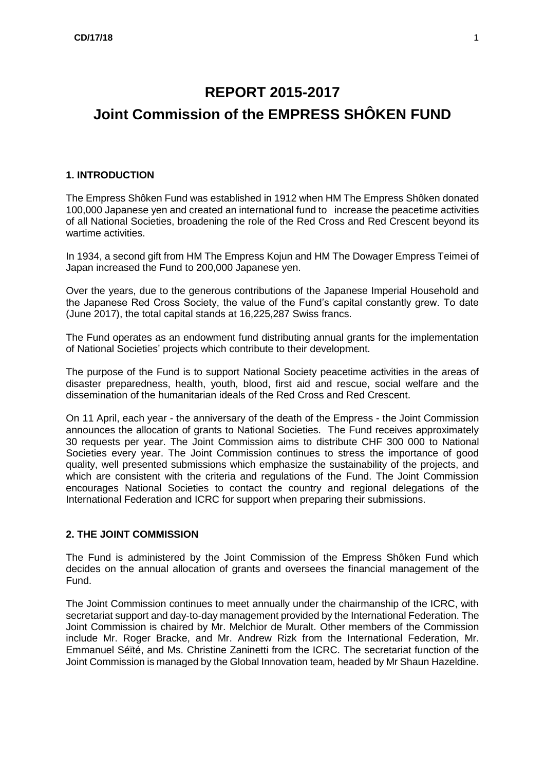# **REPORT 2015-2017 Joint Commission of the EMPRESS SHÔKEN FUND**

#### **1. INTRODUCTION**

The Empress Shôken Fund was established in 1912 when HM The Empress Shôken donated 100,000 Japanese yen and created an international fund to increase the peacetime activities of all National Societies, broadening the role of the Red Cross and Red Crescent beyond its wartime activities.

In 1934, a second gift from HM The Empress Kojun and HM The Dowager Empress Teimei of Japan increased the Fund to 200,000 Japanese yen.

Over the years, due to the generous contributions of the Japanese Imperial Household and the Japanese Red Cross Society, the value of the Fund's capital constantly grew. To date (June 2017), the total capital stands at 16,225,287 Swiss francs.

The Fund operates as an endowment fund distributing annual grants for the implementation of National Societies' projects which contribute to their development.

The purpose of the Fund is to support National Society peacetime activities in the areas of disaster preparedness, health, youth, blood, first aid and rescue, social welfare and the dissemination of the humanitarian ideals of the Red Cross and Red Crescent.

On 11 April, each year - the anniversary of the death of the Empress - the Joint Commission announces the allocation of grants to National Societies. The Fund receives approximately 30 requests per year. The Joint Commission aims to distribute CHF 300 000 to National Societies every year. The Joint Commission continues to stress the importance of good quality, well presented submissions which emphasize the sustainability of the projects, and which are consistent with the criteria and regulations of the Fund. The Joint Commission encourages National Societies to contact the country and regional delegations of the International Federation and ICRC for support when preparing their submissions.

#### **2. THE JOINT COMMISSION**

The Fund is administered by the Joint Commission of the Empress Shôken Fund which decides on the annual allocation of grants and oversees the financial management of the Fund.

The Joint Commission continues to meet annually under the chairmanship of the ICRC, with secretariat support and day-to-day management provided by the International Federation. The Joint Commission is chaired by Mr. Melchior de Muralt. Other members of the Commission include Mr. Roger Bracke, and Mr. Andrew Rizk from the International Federation, Mr. Emmanuel Séïté, and Ms. Christine Zaninetti from the ICRC. The secretariat function of the Joint Commission is managed by the Global Innovation team, headed by Mr Shaun Hazeldine.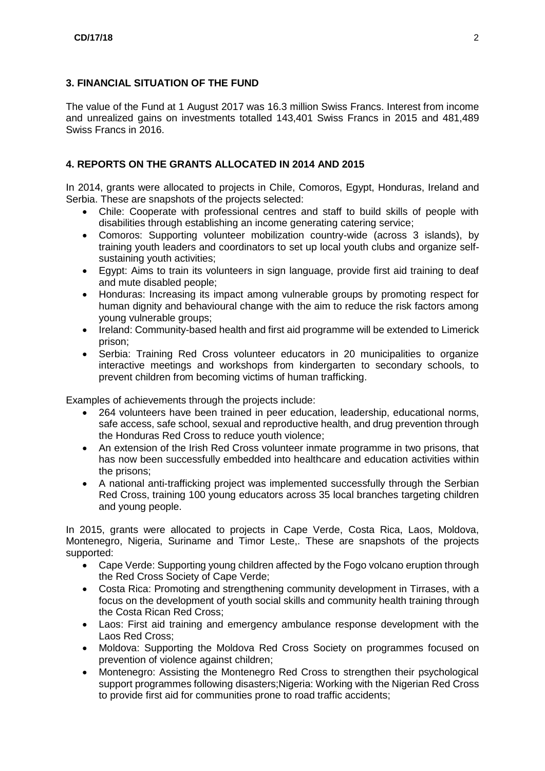#### **3. FINANCIAL SITUATION OF THE FUND**

The value of the Fund at 1 August 2017 was 16.3 million Swiss Francs. Interest from income and unrealized gains on investments totalled 143,401 Swiss Francs in 2015 and 481,489 Swiss Francs in 2016.

## **4. REPORTS ON THE GRANTS ALLOCATED IN 2014 AND 2015**

In 2014, grants were allocated to projects in Chile, Comoros, Egypt, Honduras, Ireland and Serbia. These are snapshots of the projects selected:

- Chile: Cooperate with professional centres and staff to build skills of people with disabilities through establishing an income generating catering service;
- Comoros: Supporting volunteer mobilization country-wide (across 3 islands), by training youth leaders and coordinators to set up local youth clubs and organize selfsustaining youth activities;
- Egypt: Aims to train its volunteers in sign language, provide first aid training to deaf and mute disabled people;
- Honduras: Increasing its impact among vulnerable groups by promoting respect for human dignity and behavioural change with the aim to reduce the risk factors among young vulnerable groups;
- Ireland: Community-based health and first aid programme will be extended to Limerick prison;
- Serbia: Training Red Cross volunteer educators in 20 municipalities to organize interactive meetings and workshops from kindergarten to secondary schools, to prevent children from becoming victims of human trafficking.

Examples of achievements through the projects include:

- 264 volunteers have been trained in peer education, leadership, educational norms, safe access, safe school, sexual and reproductive health, and drug prevention through the Honduras Red Cross to reduce youth violence;
- An extension of the Irish Red Cross volunteer inmate programme in two prisons, that has now been successfully embedded into healthcare and education activities within the prisons;
- A national anti-trafficking project was implemented successfully through the Serbian Red Cross, training 100 young educators across 35 local branches targeting children and young people.

In 2015, grants were allocated to projects in Cape Verde, Costa Rica, Laos, Moldova, Montenegro, Nigeria, Suriname and Timor Leste,. These are snapshots of the projects supported:

- Cape Verde: Supporting young children affected by the Fogo volcano eruption through the Red Cross Society of Cape Verde;
- Costa Rica: Promoting and strengthening community development in Tirrases, with a focus on the development of youth social skills and community health training through the Costa Rican Red Cross;
- Laos: First aid training and emergency ambulance response development with the Laos Red Cross;
- Moldova: Supporting the Moldova Red Cross Society on programmes focused on prevention of violence against children;
- Montenegro: Assisting the Montenegro Red Cross to strengthen their psychological support programmes following disasters; Nigeria: Working with the Nigerian Red Cross to provide first aid for communities prone to road traffic accidents;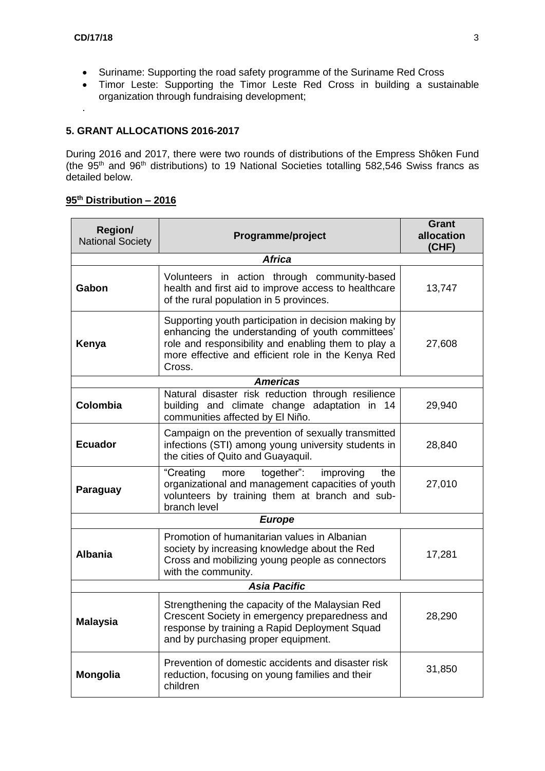.

- Suriname: Supporting the road safety programme of the Suriname Red Cross
- Timor Leste: Supporting the Timor Leste Red Cross in building a sustainable organization through fundraising development;

## **5. GRANT ALLOCATIONS 2016-2017**

During 2016 and 2017, there were two rounds of distributions of the Empress Shôken Fund (the 95<sup>th</sup> and 96<sup>th</sup> distributions) to 19 National Societies totalling 582,546 Swiss francs as detailed below.

#### **95 th Distribution – 2016**

| <b>Region/</b><br><b>National Society</b> | Programme/project                                                                                                                                                                                                               | Grant<br>allocation<br>(CHF) |  |  |
|-------------------------------------------|---------------------------------------------------------------------------------------------------------------------------------------------------------------------------------------------------------------------------------|------------------------------|--|--|
|                                           | <b>Africa</b>                                                                                                                                                                                                                   |                              |  |  |
| Gabon                                     | Volunteers in action through community-based<br>health and first aid to improve access to healthcare<br>of the rural population in 5 provinces.                                                                                 | 13,747                       |  |  |
| Kenya                                     | Supporting youth participation in decision making by<br>enhancing the understanding of youth committees'<br>role and responsibility and enabling them to play a<br>more effective and efficient role in the Kenya Red<br>Cross. | 27,608                       |  |  |
|                                           | <b>Americas</b>                                                                                                                                                                                                                 |                              |  |  |
| Colombia                                  | Natural disaster risk reduction through resilience<br>building and climate change adaptation in 14<br>communities affected by El Niño.                                                                                          | 29,940                       |  |  |
| <b>Ecuador</b>                            | Campaign on the prevention of sexually transmitted<br>infections (STI) among young university students in<br>the cities of Quito and Guayaquil.                                                                                 | 28,840                       |  |  |
| Paraguay                                  | together":<br>"Creating<br>improving<br>the<br>more<br>organizational and management capacities of youth<br>volunteers by training them at branch and sub-<br>branch level                                                      | 27,010                       |  |  |
| <b>Europe</b>                             |                                                                                                                                                                                                                                 |                              |  |  |
| <b>Albania</b>                            | Promotion of humanitarian values in Albanian<br>society by increasing knowledge about the Red<br>Cross and mobilizing young people as connectors<br>with the community.                                                         | 17,281                       |  |  |
| <b>Asia Pacific</b>                       |                                                                                                                                                                                                                                 |                              |  |  |
| <b>Malaysia</b>                           | Strengthening the capacity of the Malaysian Red<br>Crescent Society in emergency preparedness and<br>response by training a Rapid Deployment Squad<br>and by purchasing proper equipment.                                       | 28,290                       |  |  |
| <b>Mongolia</b>                           | Prevention of domestic accidents and disaster risk<br>reduction, focusing on young families and their<br>children                                                                                                               | 31,850                       |  |  |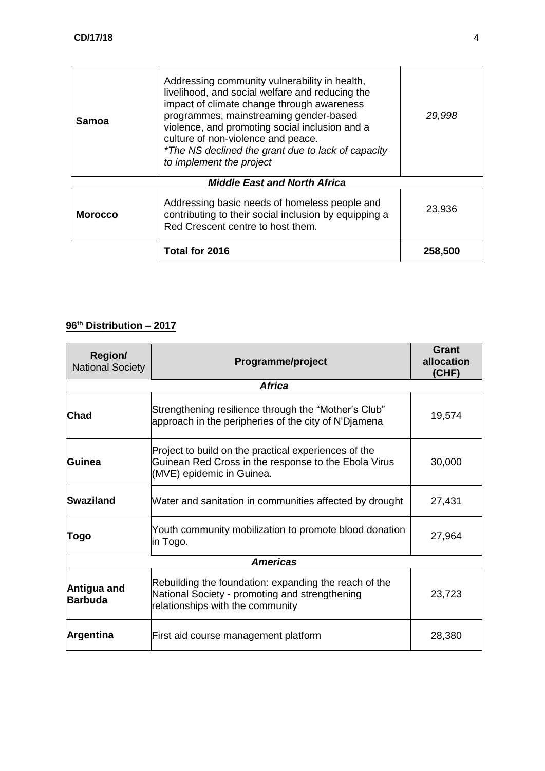| Samoa                               | Addressing community vulnerability in health,<br>livelihood, and social welfare and reducing the<br>impact of climate change through awareness<br>programmes, mainstreaming gender-based<br>violence, and promoting social inclusion and a<br>culture of non-violence and peace.<br>*The NS declined the grant due to lack of capacity<br>to implement the project | 29,998  |  |  |
|-------------------------------------|--------------------------------------------------------------------------------------------------------------------------------------------------------------------------------------------------------------------------------------------------------------------------------------------------------------------------------------------------------------------|---------|--|--|
| <b>Middle East and North Africa</b> |                                                                                                                                                                                                                                                                                                                                                                    |         |  |  |
| <b>Morocco</b>                      | Addressing basic needs of homeless people and<br>contributing to their social inclusion by equipping a<br>Red Crescent centre to host them.                                                                                                                                                                                                                        | 23,936  |  |  |
|                                     | Total for 2016                                                                                                                                                                                                                                                                                                                                                     | 258,500 |  |  |

### **96 th Distribution – 2017**

| <b>Region/</b><br><b>National Society</b> | Programme/project                                                                                                                           | <b>Grant</b><br>allocation<br>(CHF) |  |  |
|-------------------------------------------|---------------------------------------------------------------------------------------------------------------------------------------------|-------------------------------------|--|--|
|                                           | <b>Africa</b>                                                                                                                               |                                     |  |  |
| <b>Chad</b>                               | Strengthening resilience through the "Mother's Club"<br>approach in the peripheries of the city of N'Djamena                                | 19,574                              |  |  |
| <b>Guinea</b>                             | Project to build on the practical experiences of the<br>Guinean Red Cross in the response to the Ebola Virus<br>(MVE) epidemic in Guinea.   | 30,000                              |  |  |
| Swaziland                                 | Water and sanitation in communities affected by drought                                                                                     | 27,431                              |  |  |
| Togo                                      | Youth community mobilization to promote blood donation<br>in Togo.                                                                          | 27,964                              |  |  |
| <b>Americas</b>                           |                                                                                                                                             |                                     |  |  |
| Antigua and<br><b>Barbuda</b>             | Rebuilding the foundation: expanding the reach of the<br>National Society - promoting and strengthening<br>relationships with the community | 23,723                              |  |  |
| Argentina                                 | First aid course management platform                                                                                                        | 28,380                              |  |  |